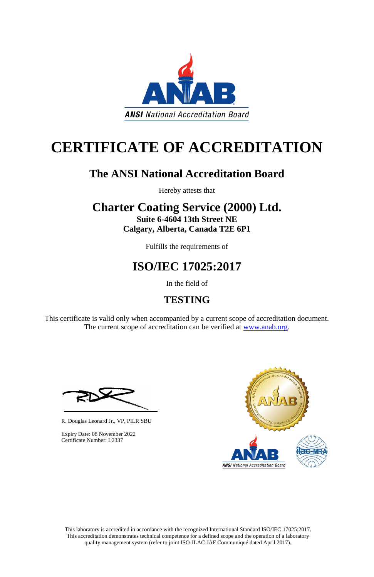This laboratory is accredited in accordance with the recognized International Standard ISO/IEC 17025:2017. This accreditation demonstrates technical competence for a defined scope and the operation of a laboratory quality management system (refer to joint ISO-ILAC-IAF Communiqué dated April 2017).

This certificate is valid only when accompanied by a current scope of accreditation document. The current scope of accreditation can be verified at [www.anab.org.](http://www.anab.org/)





# **CERTIFICATE OF ACCREDITATION**

# **The ANSI National Accreditation Board**

Hereby attests that

### **Charter Coating Service (2000) Ltd. Suite 6-4604 13th Street NE Calgary, Alberta, Canada T2E 6P1**

Fulfills the requirements of

# **ISO/IEC 17025:2017**

In the field of

## **TESTING**

R. Douglas Leonard Jr., VP, PILR SBU



Expiry Date: 08 November 2022 Certificate Number: L2337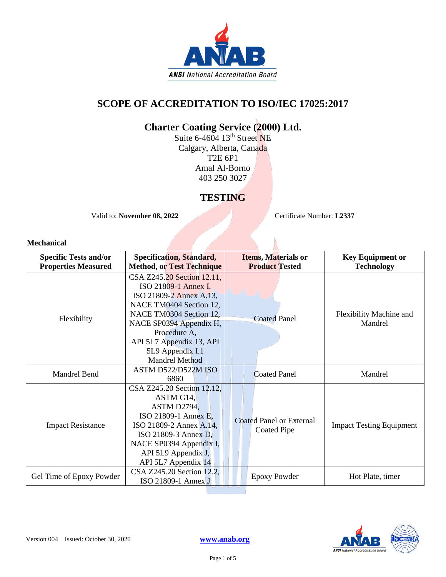

### **SCOPE OF ACCREDITATION TO ISO/IEC 17025:2017**

### **Charter Coating Service (2000) Ltd.**

Suite 6-4604 13<sup>th</sup> Street NE Calgary, Alberta, Canada T2E 6P1 Amal Al-Borno 403 250 3027

### **TESTING**

Valid to: **November 08, 2022** Certificate Number: **L2337** 

#### **Mechanical**

| <b>Specific Tests and/or</b><br><b>Properties Measured</b> | <b>Specification, Standard,</b><br><b>Method, or Test Technique</b>                                                                                                                                                                                     | <b>Items, Materials or</b><br><b>Product Tested</b>   | <b>Key Equipment or</b><br><b>Technology</b> |
|------------------------------------------------------------|---------------------------------------------------------------------------------------------------------------------------------------------------------------------------------------------------------------------------------------------------------|-------------------------------------------------------|----------------------------------------------|
| Flexibility                                                | CSA Z245.20 Section 12.11,<br>ISO 21809-1 Annex I,<br>ISO 21809-2 Annex A.13,<br>NACE TM0404 Section 12,<br>NACE TM0304 Section 12,<br>NACE SP0394 Appendix H,<br>Procedure A,<br>API 5L7 Appendix 13, API<br>5L9 Appendix I.1<br><b>Mandrel Method</b> | <b>Coated Panel</b>                                   | Flexibility Machine and<br>Mandrel           |
| <b>Mandrel Bend</b>                                        | ASTM D522/D522M ISO<br>6860                                                                                                                                                                                                                             | <b>Coated Panel</b>                                   | Mandrel                                      |
| <b>Impact Resistance</b>                                   | CSA Z245.20 Section 12.12,<br>ASTM G14,<br>ASTM D2794,<br>ISO 21809-1 Annex E,<br>ISO 21809-2 Annex A.14,<br>ISO 21809-3 Annex D,<br>NACE SP0394 Appendix I,<br>API 5L9 Appendix J,<br>API 5L7 Appendix 14                                              | <b>Coated Panel or External</b><br><b>Coated Pipe</b> | <b>Impact Testing Equipment</b>              |
| Gel Time of Epoxy Powder                                   | CSA Z245.20 Section 12.2,<br>ISO 21809-1 Annex J                                                                                                                                                                                                        | <b>Epoxy Powder</b>                                   | Hot Plate, timer                             |

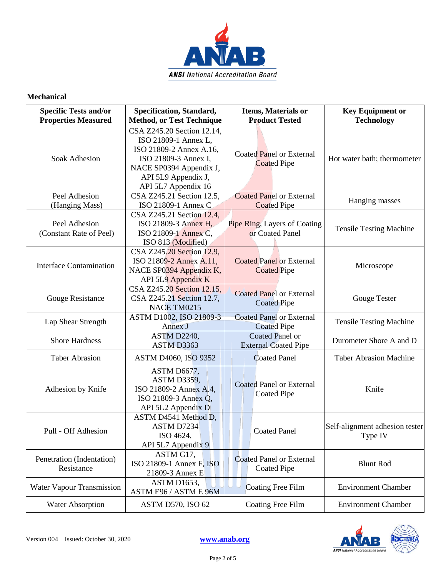

#### **Mechanical**

| <b>Specific Tests and/or</b><br><b>Properties Measured</b> | Specification, Standard,<br><b>Method, or Test Technique</b>                                                                                                                   | <b>Items, Materials or</b><br><b>Product Tested</b>   | <b>Key Equipment or</b><br><b>Technology</b> |
|------------------------------------------------------------|--------------------------------------------------------------------------------------------------------------------------------------------------------------------------------|-------------------------------------------------------|----------------------------------------------|
| Soak Adhesion                                              | CSA Z245.20 Section 12.14,<br>ISO 21809-1 Annex L,<br>ISO 21809-2 Annex A.16,<br>ISO 21809-3 Annex I,<br>NACE SP0394 Appendix J,<br>API 5L9 Appendix J,<br>API 5L7 Appendix 16 | Coated Panel or External<br><b>Coated Pipe</b>        | Hot water bath; thermometer                  |
| Peel Adhesion<br>(Hanging Mass)                            | CSA Z245.21 Section 12.5,<br>ISO 21809-1 Annex C                                                                                                                               | <b>Coated Panel or External</b><br><b>Coated Pipe</b> | Hanging masses                               |
| Peel Adhesion<br>(Constant Rate of Peel)                   | CSA Z245.21 Section 12.4,<br>ISO 21809-3 Annex H,<br>ISO 21809-1 Annex C,<br>ISO 813 (Modified)                                                                                | Pipe Ring, Layers of Coating<br>or Coated Panel       | <b>Tensile Testing Machine</b>               |
| <b>Interface Contamination</b>                             | CSA Z245.20 Section 12.9,<br>ISO 21809-2 Annex A.11,<br>NACE SP0394 Appendix K,<br>API 5L9 Appendix K                                                                          | <b>Coated Panel or External</b><br><b>Coated Pipe</b> | Microscope                                   |
| Gouge Resistance                                           | CSA Z245.20 Section 12.15,<br>CSA Z245.21 Section 12.7,<br>NACE TM0215                                                                                                         | <b>Coated Panel or External</b><br><b>Coated Pipe</b> | <b>Gouge Tester</b>                          |
| Lap Shear Strength                                         | ASTM D1002, ISO 21809-3<br>Annex J                                                                                                                                             | <b>Coated Panel or External</b><br><b>Coated Pipe</b> | <b>Tensile Testing Machine</b>               |
| <b>Shore Hardness</b>                                      | ASTM D2240,<br>ASTM D3363                                                                                                                                                      | Coated Panel or<br><b>External Coated Pipe</b>        | Durometer Shore A and D                      |
| <b>Taber Abrasion</b>                                      | ASTM D4060, ISO 9352                                                                                                                                                           | <b>Coated Panel</b>                                   | <b>Taber Abrasion Machine</b>                |
| Adhesion by Knife                                          | ASTM D6677,<br><b>ASTM D3359,</b><br>ISO 21809-2 Annex A.4,<br>ISO 21809-3 Annex Q,<br>API 5L2 Appendix D                                                                      | <b>Coated Panel or External</b><br><b>Coated Pipe</b> | Knife                                        |
| Pull - Off Adhesion                                        | ASTM D4541 Method D,<br>ASTM D7234<br>ISO 4624,<br>API 5L7 Appendix 9                                                                                                          | <b>Coated Panel</b>                                   | Self-alignment adhesion tester<br>Type IV    |
| Penetration (Indentation)<br>Resistance                    | ASTM G17,<br>ISO 21809-1 Annex $F$ , ISO<br>21809-3 Annex E                                                                                                                    | <b>Coated Panel or External</b><br><b>Coated Pipe</b> | <b>Blunt Rod</b>                             |
| Water Vapour Transmission                                  | ASTM D1653,<br>ASTM E96 / ASTM E 96M                                                                                                                                           | <b>Coating Free Film</b>                              | <b>Environment Chamber</b>                   |
| <b>Water Absorption</b>                                    | <b>ASTM D570, ISO 62</b>                                                                                                                                                       | <b>Coating Free Film</b>                              | <b>Environment Chamber</b>                   |

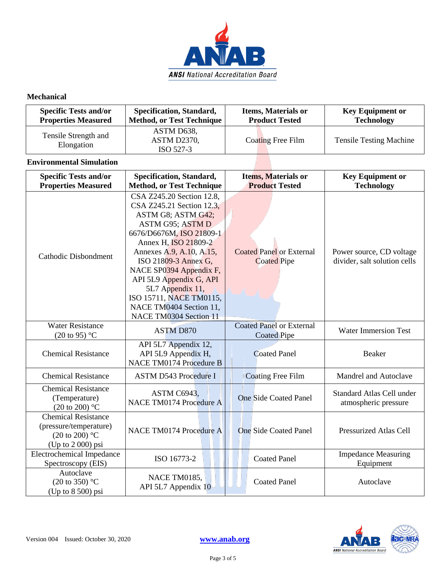

#### **Mechanical**

| <b>Specific Tests and/or</b>       | Specification, Standard,               | <b>Items, Materials or</b> | <b>Key Equipment or</b>        |
|------------------------------------|----------------------------------------|----------------------------|--------------------------------|
| <b>Properties Measured</b>         | Method, or Test Technique              | <b>Product Tested</b>      | <b>Technology</b>              |
| Tensile Strength and<br>Elongation | ASTM D638,<br>ASTM D2370,<br>ISO 527-3 | Coating Free Film          | <b>Tensile Testing Machine</b> |

#### **Environmental Simulation**

| <b>Specific Tests and/or</b><br><b>Properties Measured</b>                                            | Specification, Standard,<br><b>Method, or Test Technique</b>                                                                                                                                                                                                                                                                                                       | Items, Materials or<br><b>Product Tested</b>          | <b>Key Equipment or</b><br><b>Technology</b>             |
|-------------------------------------------------------------------------------------------------------|--------------------------------------------------------------------------------------------------------------------------------------------------------------------------------------------------------------------------------------------------------------------------------------------------------------------------------------------------------------------|-------------------------------------------------------|----------------------------------------------------------|
| Cathodic Disbondment                                                                                  | CSA Z245.20 Section 12.8,<br>CSA Z245.21 Section 12.3,<br>ASTM G8; ASTM G42;<br>ASTM G95; ASTM D<br>6676/D6676M, ISO 21809-1<br>Annex H, ISO 21809-2<br>Annexes A.9, A.10, A.15,<br>ISO 21809-3 Annex G,<br>NACE SP0394 Appendix F,<br>API 5L9 Appendix G, API<br>5L7 Appendix 11,<br>ISO 15711, NACE TM0115,<br>NACE TM0404 Section 11,<br>NACE TM0304 Section 11 | <b>Coated Panel or External</b><br><b>Coated Pipe</b> | Power source, CD voltage<br>divider, salt solution cells |
| <b>Water Resistance</b><br>$(20 \text{ to } 95)$ °C                                                   | <b>ASTM D870</b>                                                                                                                                                                                                                                                                                                                                                   | <b>Coated Panel or External</b><br><b>Coated Pipe</b> | <b>Water Immersion Test</b>                              |
| <b>Chemical Resistance</b>                                                                            | API 5L7 Appendix 12,<br>API 5L9 Appendix H,<br><b>NACE TM0174 Procedure B</b>                                                                                                                                                                                                                                                                                      | <b>Coated Panel</b>                                   | Beaker                                                   |
| <b>Chemical Resistance</b>                                                                            | <b>ASTM D543 Procedure I</b>                                                                                                                                                                                                                                                                                                                                       | <b>Coating Free Film</b>                              | Mandrel and Autoclave                                    |
| <b>Chemical Resistance</b><br>(Temperature)<br>$(20 \text{ to } 200)$ °C                              | ASTM C6943,<br>NACE TM0174 Procedure A                                                                                                                                                                                                                                                                                                                             | <b>One Side Coated Panel</b>                          | Standard Atlas Cell under<br>atmospheric pressure        |
| <b>Chemical Resistance</b><br>(pressure/temperature)<br>(20 to 200) $^{\circ}$ C<br>(Up to 2 000) psi | NACE TM0174 Procedure A                                                                                                                                                                                                                                                                                                                                            | <b>One Side Coated Panel</b>                          | <b>Pressurized Atlas Cell</b>                            |
| <b>Electrochemical Impedance</b><br>Spectroscopy (EIS)                                                | ISO 16773-2                                                                                                                                                                                                                                                                                                                                                        | <b>Coated Panel</b>                                   | <b>Impedance Measuring</b><br>Equipment                  |
| Autoclave<br>$(20 \text{ to } 350)$ °C<br>(Up to 8 500) psi                                           | NACE TM0185,<br>API 5L7 Appendix 10                                                                                                                                                                                                                                                                                                                                | <b>Coated Panel</b>                                   | Autoclave                                                |

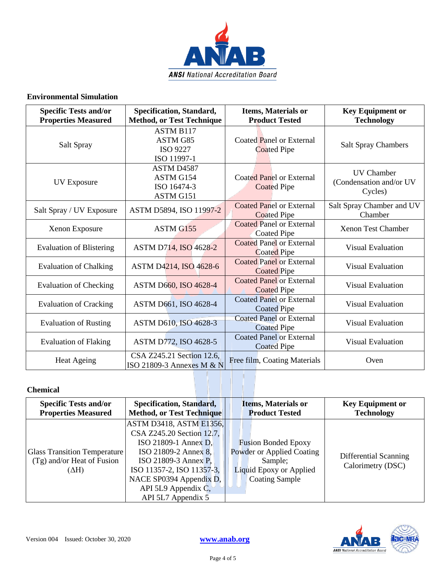

#### **Environmental Simulation**

| <b>Specific Tests and/or</b><br><b>Properties Measured</b> | Specification, Standard,<br><b>Method, or Test Technique</b>   | <b>Items, Materials or</b><br><b>Product Tested</b>   | <b>Key Equipment or</b><br><b>Technology</b>            |
|------------------------------------------------------------|----------------------------------------------------------------|-------------------------------------------------------|---------------------------------------------------------|
| Salt Spray                                                 | <b>ASTM B117</b><br>ASTM G85<br><b>ISO 9227</b><br>ISO 11997-1 | Coated Panel or External<br><b>Coated Pipe</b>        | <b>Salt Spray Chambers</b>                              |
| <b>UV Exposure</b>                                         | ASTM D4587<br>ASTM G154<br>ISO 16474-3<br>ASTM G151            | Coated Panel or External<br><b>Coated Pipe</b>        | <b>UV</b> Chamber<br>(Condensation and/or UV<br>Cycles) |
| Salt Spray / UV Exposure                                   | ASTM D5894, ISO 11997-2                                        | <b>Coated Panel or External</b><br><b>Coated Pipe</b> | Salt Spray Chamber and UV<br>Chamber                    |
| Xenon Exposure                                             | ASTM G155                                                      | <b>Coated Panel or External</b><br><b>Coated Pipe</b> | <b>Xenon Test Chamber</b>                               |
| <b>Evaluation of Blistering</b>                            | ASTM D714, ISO 4628-2                                          | <b>Coated Panel or External</b><br><b>Coated Pipe</b> | <b>Visual Evaluation</b>                                |
| <b>Evaluation of Chalking</b>                              | ASTM D4214, ISO 4628-6                                         | <b>Coated Panel or External</b><br><b>Coated Pipe</b> | <b>Visual Evaluation</b>                                |
| <b>Evaluation of Checking</b>                              | ASTM D660, ISO 4628-4                                          | <b>Coated Panel or External</b><br><b>Coated Pipe</b> | <b>Visual Evaluation</b>                                |
| <b>Evaluation of Cracking</b>                              | ASTM D661, ISO 4628-4                                          | <b>Coated Panel or External</b><br><b>Coated Pipe</b> | <b>Visual Evaluation</b>                                |
| <b>Evaluation of Rusting</b>                               | ASTM D610, ISO 4628-3                                          | <b>Coated Panel or External</b><br><b>Coated Pipe</b> | <b>Visual Evaluation</b>                                |
| <b>Evaluation of Flaking</b>                               | ASTM D772, ISO 4628-5                                          | <b>Coated Panel or External</b><br><b>Coated Pipe</b> | <b>Visual Evaluation</b>                                |
| <b>Heat Ageing</b>                                         | CSA Z245.21 Section 12.6,<br>ISO 21809-3 Annexes M & N         | Free film, Coating Materials                          | Oven                                                    |

#### **Chemical**

| <b>Specific Tests and/or</b>                                                        | <b>Specification, Standard,</b>                                                                                                                                                                                                            | <b>Items, Materials or</b>                                                                                                    | <b>Key Equipment or</b>                    |
|-------------------------------------------------------------------------------------|--------------------------------------------------------------------------------------------------------------------------------------------------------------------------------------------------------------------------------------------|-------------------------------------------------------------------------------------------------------------------------------|--------------------------------------------|
| <b>Properties Measured</b>                                                          | <b>Method, or Test Technique</b>                                                                                                                                                                                                           | <b>Product Tested</b>                                                                                                         | <b>Technology</b>                          |
| <b>Glass Transition Temperature</b><br>$(Tg)$ and/or Heat of Fusion<br>$(\Delta H)$ | <b>ASTM D3418, ASTM E1356,</b><br>CSA Z245.20 Section 12.7,<br>$ISO 21809-1$ Annex D,<br>ISO 21809-2 Annex 8,<br>ISO 21809-3 Annex P.<br>ISO 11357-2, ISO 11357-3,<br>NACE SP0394 Appendix D,<br>API 5L9 Appendix C,<br>API 5L7 Appendix 5 | <b>Fusion Bonded Epoxy</b><br>Powder or Applied Coating<br>Sample;<br><b>Liquid Epoxy or Applied</b><br><b>Coating Sample</b> | Differential Scanning<br>Calorimetry (DSC) |